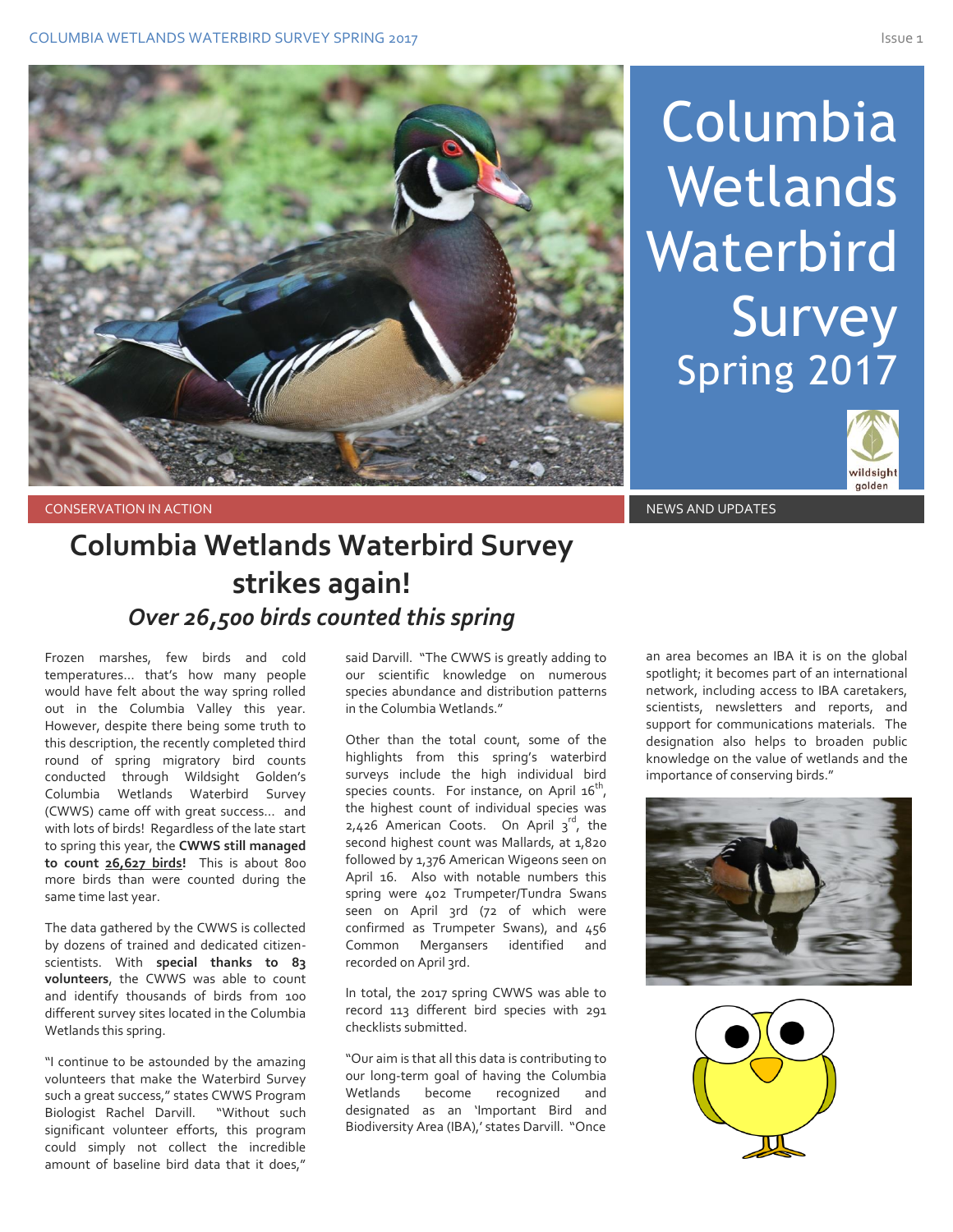

# **Columbia** Wetlands **Waterbird Survey** Spring 2017



#### CONSERVATION IN ACTION NEWS AND UPDATES

## **Columbia Wetlands Waterbird Survey strikes again!** *Over 26,500 birds counted this spring*

Frozen marshes, few birds and cold temperatures… that's how many people would have felt about the way spring rolled out in the Columbia Valley this year. However, despite there being some truth to this description, the recently completed third round of spring migratory bird counts conducted through Wildsight Golden's Columbia Wetlands Waterbird Survey (CWWS) came off with great success… and with lots of birds! Regardless of the late start to spring this year, the **CWWS still managed to count 26,627 birds!** This is about 800 more birds than were counted during the same time last year.

The data gathered by the CWWS is collected by dozens of trained and dedicated citizenscientists. With **special thanks to 83 volunteers**, the CWWS was able to count and identify thousands of birds from 100 different survey sites located in the Columbia Wetlands this spring.

"I continue to be astounded by the amazing volunteers that make the Waterbird Survey such a great success," states CWWS Program Biologist Rachel Darvill. "Without such significant volunteer efforts, this program could simply not collect the incredible amount of baseline bird data that it does,"

said Darvill. "The CWWS is greatly adding to our scientific knowledge on numerous species abundance and distribution patterns in the Columbia Wetlands."

Other than the total count, some of the highlights from this spring's waterbird surveys include the high individual bird species counts. For instance, on April 16<sup>th</sup>, the highest count of individual species was 2,426 American Coots. On April  $3^{rd}$ , the second highest count was Mallards, at 1,820 followed by 1,376 American Wigeons seen on April 16. Also with notable numbers this spring were 402 Trumpeter/Tundra Swans seen on April 3rd (72 of which were confirmed as Trumpeter Swans), and 456 Common Mergansers identified and recorded on April 3rd.

In total, the 2017 spring CWWS was able to record 113 different bird species with 291 checklists submitted.

"Our aim is that all this data is contributing to our long-term goal of having the Columbia Wetlands become recognized and designated as an 'Important Bird and Biodiversity Area (IBA),' states Darvill. "Once

an area becomes an IBA it is on the global spotlight; it becomes part of an international network, including access to IBA caretakers, scientists, newsletters and reports, and support for communications materials. The designation also helps to broaden public knowledge on the value of wetlands and the importance of conserving birds."



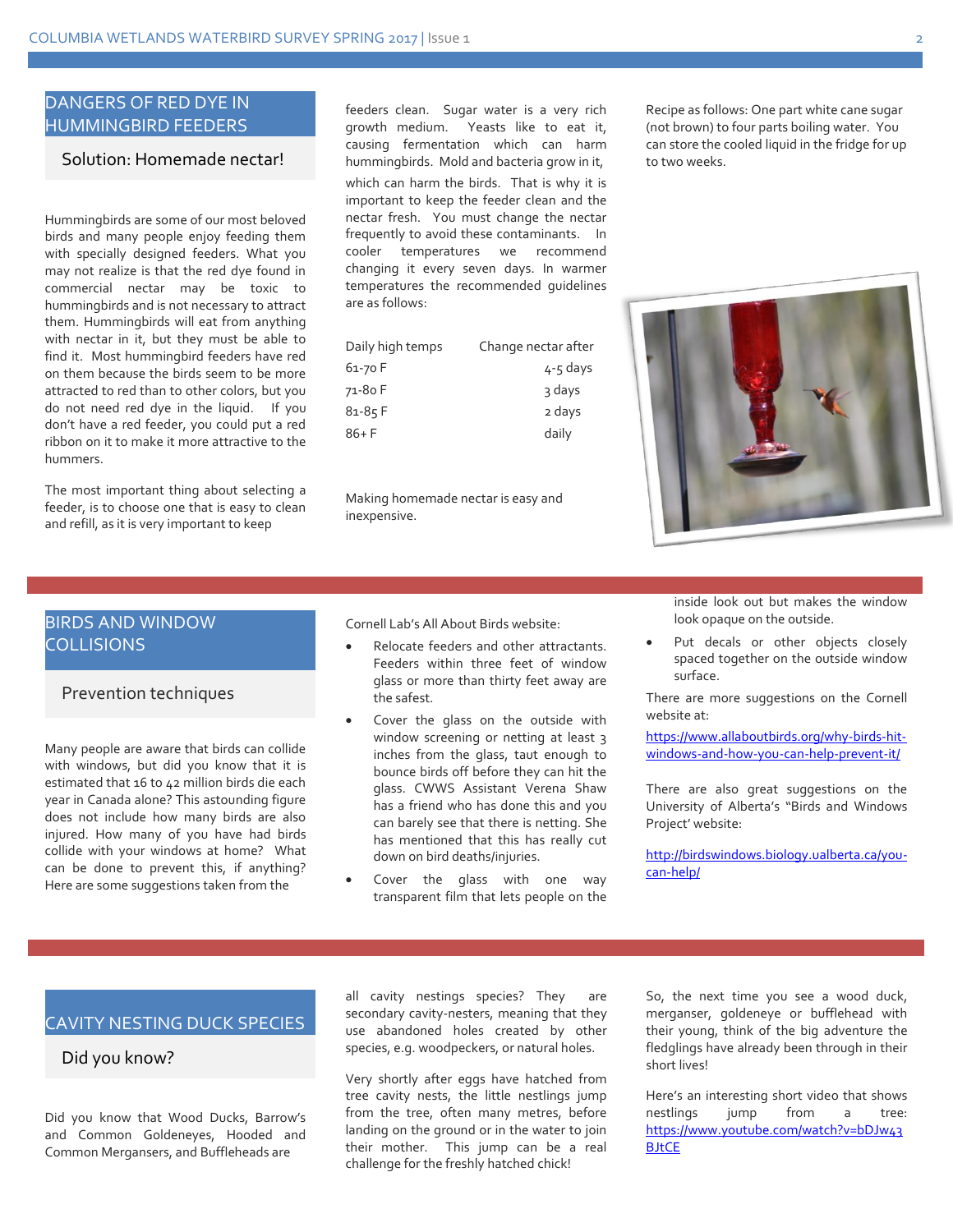#### DANGERS OF RED DYE IN HUMMINGBIRD FEEDERS

#### Solution: Homemade nectar!

Hummingbirds are some of our most beloved birds and many people enjoy feeding them with specially designed feeders. What you may not realize is that the red dye found in commercial nectar may be toxic to hummingbirds and is not necessary to attract them. Hummingbirds will eat from anything with nectar in it, but they must be able to find it. Most hummingbird feeders have red on them because the birds seem to be more attracted to red than to other colors, but you do not need red dye in the liquid. If you don't have a red feeder, you could put a red ribbon on it to make it more attractive to the hummers.

The most important thing about selecting a feeder, is to choose one that is easy to clean and refill, as it is very important to keep

feeders clean. Sugar water is a very rich growth medium. Yeasts like to eat it, causing fermentation which can harm hummingbirds. Mold and bacteria grow in it, which can harm the birds. That is why it is important to keep the feeder clean and the nectar fresh. You must change the nectar frequently to avoid these contaminants. In cooler temperatures we recommend changing it every seven days. In warmer temperatures the recommended guidelines

| Daily high temps | Change nectar after |
|------------------|---------------------|
| 61-70 F          | $4 - 5$ days        |
| 71-80 F          | 3 days              |
| $81 - 85 F$      | 2 days              |
| 86+F             | daily               |

are as follows:

Making homemade nectar is easy and inexpensive.

Recipe as follows: One part white cane sugar (not brown) to four parts boiling water. You can store the cooled liquid in the fridge for up to two weeks.



#### BIRDS AND WINDOW **COLLISIONS**

#### Prevention techniques

Many people are aware that birds can collide with windows, but did you know that it is estimated that 16 to 42 million birds die each year in Canada alone? This astounding figure does not include how many birds are also injured. How many of you have had birds collide with your windows at home? What can be done to prevent this, if anything? Here are some suggestions taken from the

Cornell Lab's All About Birds website:

 Relocate feeders and other attractants. Feeders within three feet of window glass or more than thirty feet away are the safest.

DI

- Cover the glass on the outside with window screening or netting at least 3 inches from the glass, taut enough to bounce birds off before they can hit the glass. CWWS Assistant Verena Shaw has a friend who has done this and you can barely see that there is netting. She has mentioned that this has really cut down on bird deaths/injuries.
- Cover the glass with one way transparent film that lets people on the

DI

inside look out but makes the window look opaque on the outside.

 Put decals or other objects closely spaced together on the outside window surface.

There are more suggestions on the Cornell website at:

[https://www.allaboutbirds.org/why-birds-hit](https://www.allaboutbirds.org/why-birds-hit-windows-and-how-you-can-help-prevent-it/)[windows-and-how-you-can-help-prevent-it/](https://www.allaboutbirds.org/why-birds-hit-windows-and-how-you-can-help-prevent-it/)

There are also great suggestions on the University of Alberta's "Birds and Windows Project' website:

[http://birdswindows.biology.ualberta.ca/you](http://birdswindows.biology.ualberta.ca/you-can-help/%0c)[can-help/](http://birdswindows.biology.ualberta.ca/you-can-help/%0c)

#### CAVITY NESTING DUCK SPECIES

#### Did you know?

Did you know that Wood Ducks, Barrow's and Common Goldeneyes, Hooded and Common Mergansers, and Buffleheads are

all cavity nestings species? They are secondary cavity-nesters, meaning that they use abandoned holes created by other species, e.g. woodpeckers, or natural holes.

Very shortly after eggs have hatched from tree cavity nests, the little nestlings jump from the tree, often many metres, before landing on the ground or in the water to join their mother. This jump can be a real challenge for the freshly hatched chick!

So, the next time you see a wood duck, merganser, goldeneye or bufflehead with their young, think of the big adventure the fledglings have already been through in their short lives!

Here's an interesting short video that shows nestlings jump from a tree: [https://www.youtube.com/watch?v=bDJw43](https://www.youtube.com/watch?v=bDJw43BJtCE) **[BJtCE](https://www.youtube.com/watch?v=bDJw43BJtCE)**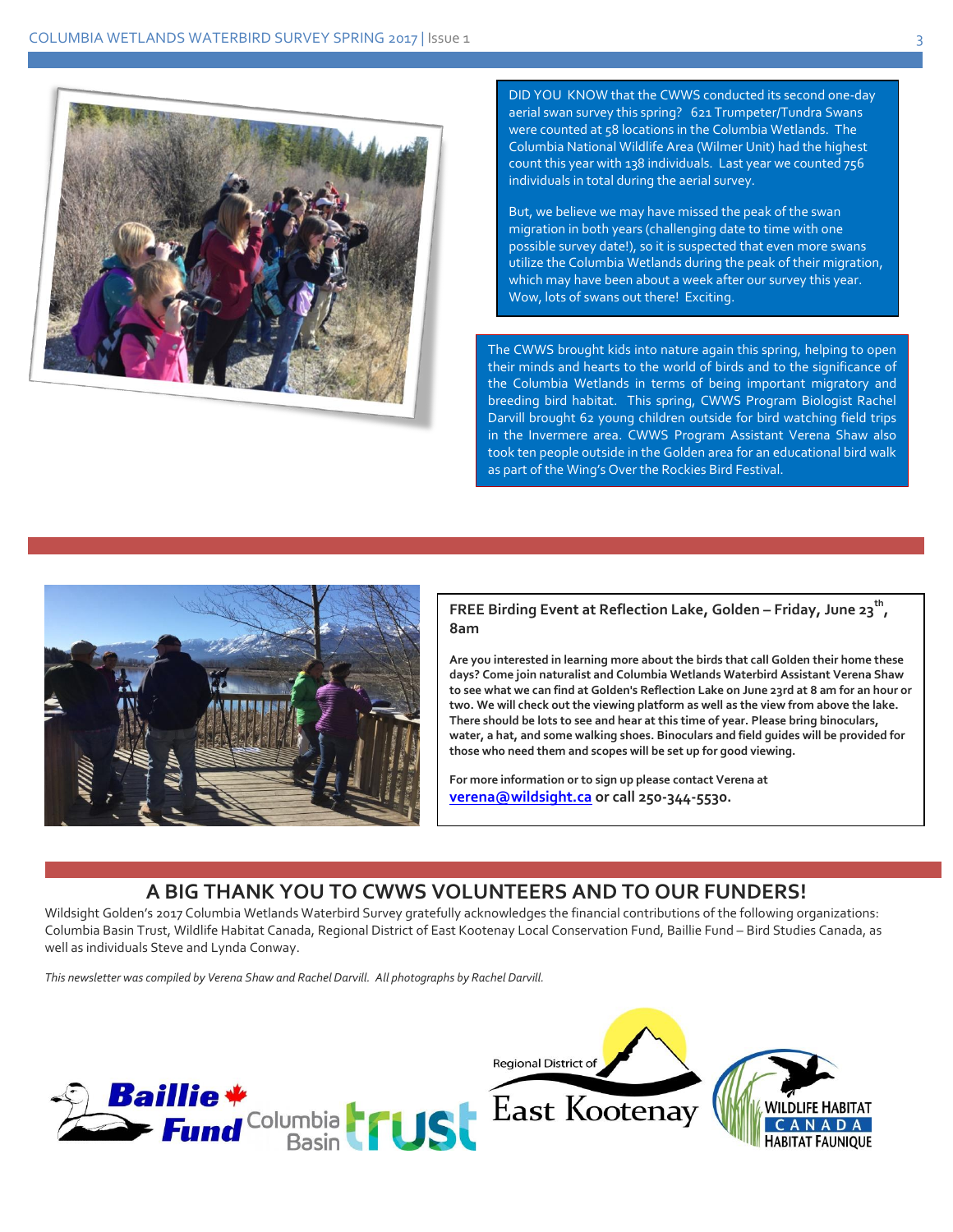

DID YOU KNOW that the CWWS conducted its second one-day aerial swan survey this spring? 621 Trumpeter/Tundra Swans were counted at 58 locations in the Columbia Wetlands. The Columbia National Wildlife Area (Wilmer Unit) had the highest count this year with 138 individuals. Last year we counted 756 individuals in total during the aerial survey.

But, we believe we may have missed the peak of the swan migration in both years (challenging date to time with one possible survey date!), so it is suspected that even more swans utilize the Columbia Wetlands during the peak of their migration, which may have been about a week after our survey this year. Wow, lots of swans out there! Exciting.

The CWWS brought kids into nature again this spring, helping to open their minds and hearts to the world of birds and to the significance of the Columbia Wetlands in terms of being important migratory and breeding bird habitat. This spring, CWWS Program Biologist Rachel Darvill brought 62 young children outside for bird watching field trips in the Invermere area. CWWS Program Assistant Verena Shaw also took ten people outside in the Golden area for an educational bird walk as part of the Wing's Over the Rockies Bird Festival.



**FREE Birding Event at Reflection Lake, Golden – Friday, June 23 th , 8am**

**Are you interested in learning more about the birds that call Golden their home these days? Come join naturalist and Columbia Wetlands Waterbird Assistant Verena Shaw to see what we can find at Golden's Reflection Lake on June 23rd at 8 am for an hour or two. We will check out the viewing platform as well as the view from above the lake. There should be lots to see and hear at this time of year. Please bring binoculars, water, a hat, and some walking shoes. Binoculars and field guides will be provided for those who need them and scopes will be set up for good viewing.** 

**For more information or to sign up please contact Verena at [verena@wildsight.ca](mailto:verena@wildsight.ca) or call 250-344-5530.**

## **A BIG THANK YOU TO CWWS VOLUNTEERS AND TO OUR FUNDERS!** DI

DI

Wildsight Golden's 2017 Columbia Wetlands Waterbird Survey gratefully acknowledges the financial contributions of the following organizations: Columbia Basin Trust, Wildlife Habitat Canada, Regional District of East Kootenay Local Conservation Fund, Baillie Fund – Bird Studies Canada, as well as individuals Steve and Lynda Conway.

*This newsletter was compiled by Verena Shaw and Rachel Darvill. All photographs by Rachel Darvill.*